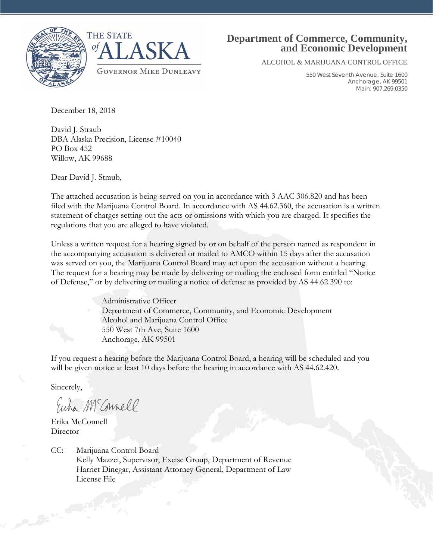



# **Department of Commerce, Community, and Economic Development**

ALCOHOL & MARIJUANA CONTROL OFFICE

550 West Seventh Avenue, Suite 1600 Anchorage, AK 99501 Main: 907.269.0350

December 18, 2018

David J. Straub DBA Alaska Precision, License #10040 PO Box 452 Willow, AK 99688

Dear David J. Straub,

The attached accusation is being served on you in accordance with 3 AAC 306.820 and has been filed with the Marijuana Control Board. In accordance with AS 44.62.360, the accusation is a written statement of charges setting out the acts or omissions with which you are charged. It specifies the regulations that you are alleged to have violated.

Unless a written request for a hearing signed by or on behalf of the person named as respondent in the accompanying accusation is delivered or mailed to AMCO within 15 days after the accusation was served on you, the Marijuana Control Board may act upon the accusation without a hearing. The request for a hearing may be made by delivering or mailing the enclosed form entitled "Notice of Defense," or by delivering or mailing a notice of defense as provided by AS 44.62.390 to:

> Administrative Officer Department of Commerce, Community, and Economic Development Alcohol and Marijuana Control Office 550 West 7th Ave, Suite 1600 Anchorage, AK 99501

If you request a hearing before the Marijuana Control Board, a hearing will be scheduled and you will be given notice at least 10 days before the hearing in accordance with AS 44.62.420.

Sincerely,

Euha M Connell

Erika McConnell **Director** 

CC: Marijuana Control Board Kelly Mazzei, Supervisor, Excise Group, Department of Revenue Harriet Dinegar, Assistant Attorney General, Department of Law License File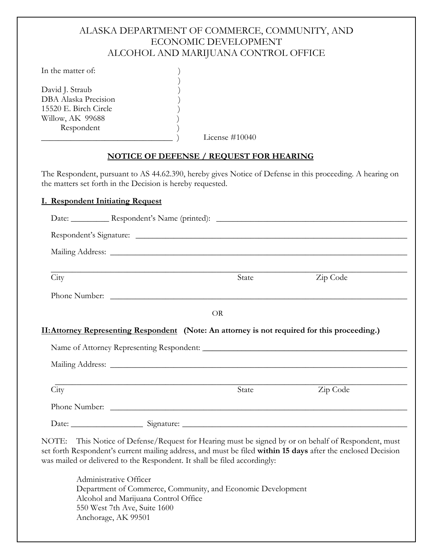# ALASKA DEPARTMENT OF COMMERCE, COMMUNITY, AND ECONOMIC DEVELOPMENT ALCOHOL AND MARIJUANA CONTROL OFFICE

In the matter of:

David J. Straub DBA Alaska Precision 15520 E. Birch Circle ) Willow, AK 99688 Respondent )

License #10040

## **NOTICE OF DEFENSE / REQUEST FOR HEARING**

 $\big)$ 

The Respondent, pursuant to AS 44.62.390, hereby gives Notice of Defense in this proceeding. A hearing on the matters set forth in the Decision is hereby requested.

#### **I. Respondent Initiating Request**

|      | Respondent's Signature:                                                                             |          |
|------|-----------------------------------------------------------------------------------------------------|----------|
|      |                                                                                                     |          |
| City | State                                                                                               | Zip Code |
|      |                                                                                                     |          |
|      | Phone Number:                                                                                       |          |
|      |                                                                                                     |          |
|      | <b>OR</b>                                                                                           |          |
|      | <b>II:Attorney Representing Respondent</b> (Note: An attorney is not required for this proceeding.) |          |
|      |                                                                                                     |          |
|      |                                                                                                     |          |
| City | State                                                                                               | Zip Code |
|      | Phone Number:                                                                                       |          |

NOTE: This Notice of Defense/Request for Hearing must be signed by or on behalf of Respondent, must set forth Respondent's current mailing address, and must be filed **within 15 days** after the enclosed Decision was mailed or delivered to the Respondent. It shall be filed accordingly:

Administrative Officer Department of Commerce, Community, and Economic Development Alcohol and Marijuana Control Office 550 West 7th Ave, Suite 1600 Anchorage, AK 99501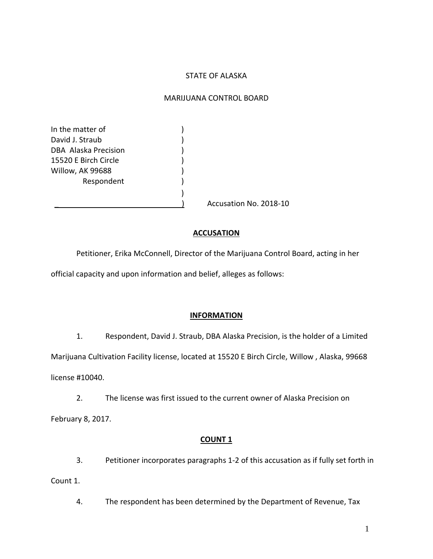## STATE OF ALASKA

#### MARIJUANA CONTROL BOARD

In the matter of  $\qquad \qquad$ ) David J. Straub (1999) DBA Alaska Precision (1999) 15520 E Birch Circle ) Willow, AK 99688 (1996) Respondent (1)

Accusation No. 2018-10

## **ACCUSATION**

Petitioner, Erika McConnell, Director of the Marijuana Control Board, acting in her official capacity and upon information and belief, alleges as follows:

)

#### **INFORMATION**

1. Respondent, David J. Straub, DBA Alaska Precision, is the holder of a Limited Marijuana Cultivation Facility license, located at 15520 E Birch Circle, Willow , Alaska, 99668

license #10040.

2. The license was first issued to the current owner of Alaska Precision on February 8, 2017.

## **COUNT 1**

3. Petitioner incorporates paragraphs 1-2 of this accusation as if fully set forth in Count 1.

4. The respondent has been determined by the Department of Revenue, Tax

1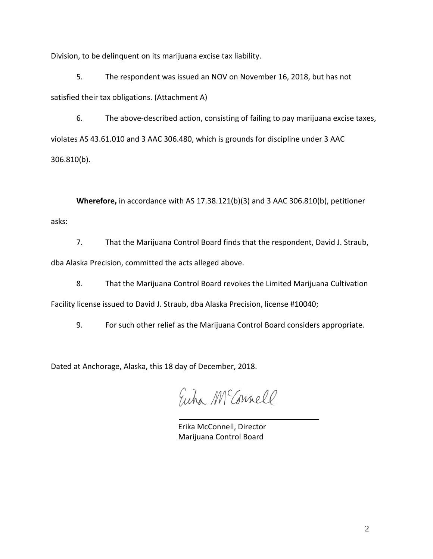Division, to be delinquent on its marijuana excise tax liability.

5. The respondent was issued an NOV on November 16, 2018, but has not satisfied their tax obligations. (Attachment A)

6. The above-described action, consisting of failing to pay marijuana excise taxes, violates AS 43.61.010 and 3 AAC 306.480, which is grounds for discipline under 3 AAC 306.810(b).

**Wherefore,** in accordance with AS 17.38.121(b)(3) and 3 AAC 306.810(b), petitioner asks:

7. That the Marijuana Control Board finds that the respondent, David J. Straub, dba Alaska Precision, committed the acts alleged above.

8. That the Marijuana Control Board revokes the Limited Marijuana Cultivation

Facility license issued to David J. Straub, dba Alaska Precision, license #10040;

9. For such other relief as the Marijuana Control Board considers appropriate.

Dated at Anchorage, Alaska, this 18 day of December, 2018.

Euha M Connell

Erika McConnell, Director Marijuana Control Board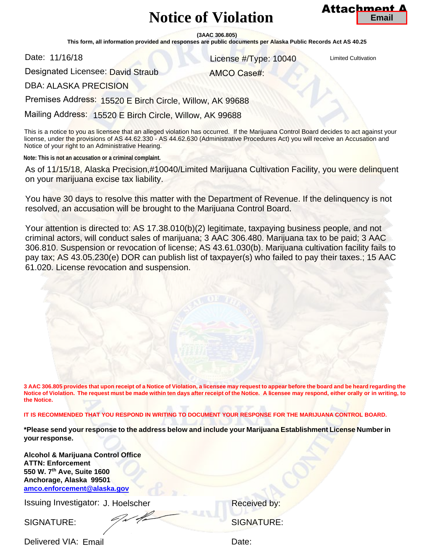# **Notice of Violation**



**(3AAC 306.805)** 

**This form, all information provided and responses are public documents per Alaska Public Records Act AS 40.25** 

Date: 11/16/18

License #/Type: 10040

AMCO Case#:

Designated Licensee: David Straub 11/16/18 License #/Type: 10040<br>nated Licensee: David Straub AMCO Case#:<br>ALASKA PRECISION

DBA: ALASKA PRECISION

Premises Address: 15520 E Birch Circle, Willow, AK 99688

Mailing Address: 15520 E Birch Circle, Willow, AK 99688

This is a notice to you as licensee that an alleged violation has occurred. If the Marijuana Control Board decides to act against your license, under the provisions of AS 44.62.330 - AS 44.62.630 (Administrative Procedures Act) you will receive an Accusation and Notice of your right to an Administrative Hearing.

**Note: This is not an accusation or a criminal complaint.**

As of 11/15/18, Alaska Precision,#10040/Limited Marijuana Cultivation Facility, you were delinquent on your marijuana excise tax liability.

You have 30 days to resolve this matter with the Department of Revenue. If the delinquency is not resolved, an accusation will be brought to the Marijuana Control Board.

Your attention is directed to: AS 17.38.010(b)(2) legitimate, taxpaying business people, and not criminal actors, will conduct sales of marijuana; 3 AAC 306.480. Marijuana tax to be paid; 3 AAC 306.810. Suspension or revocation of license; AS 43.61.030(b). Marijuana cultivation facility fails to pay tax; AS 43.05.230(e) DOR can publish list of taxpayer(s) who failed to pay their taxes.; 15 AAC 61.020. License revocation and suspension. **The Circle of Circle of Circle (State Provides and Concernent Concernent Concernent Concernent Concernent Cultivation Circle, Willow, AK 99688 15520 E Birch Circle, Willow, AK 99688 15520 E Birch Circle, Willow, AK 99688** 

**3 AAC 306.805 provides that upon receipt of a Notice of Violation, a licensee may request to appear before the board and be heard regarding the Notice of Violation. The request must be made within ten days after receipt of the Notice. A licensee may respond, either orally or in writing, to the Notice.** 

**IT IS RECOMMENDED THAT YOU RESPOND IN WRITING TO DOCUMENT YOUR RESPONSE FOR THE MARIJUANA CONTROL BOARD.** 

**\*Please send your response to the address below and include your Marijuana Establishment License Number in your response.** 

**Alcohol & Marijuana Control Office [ATTN: Enforcement](mailto:amco.enforcement@alaska.gov)  550 W. 7th Ave, Suite 1600 Anchorage, Alaska 99501 amco.enforcement@alaska.gov**

Issuing Investigator: J. Hoelscher **Example 2018** Received by:

SIGNATURE: SIGNATURE: SIGNATURE:

Delivered VIA: Date: